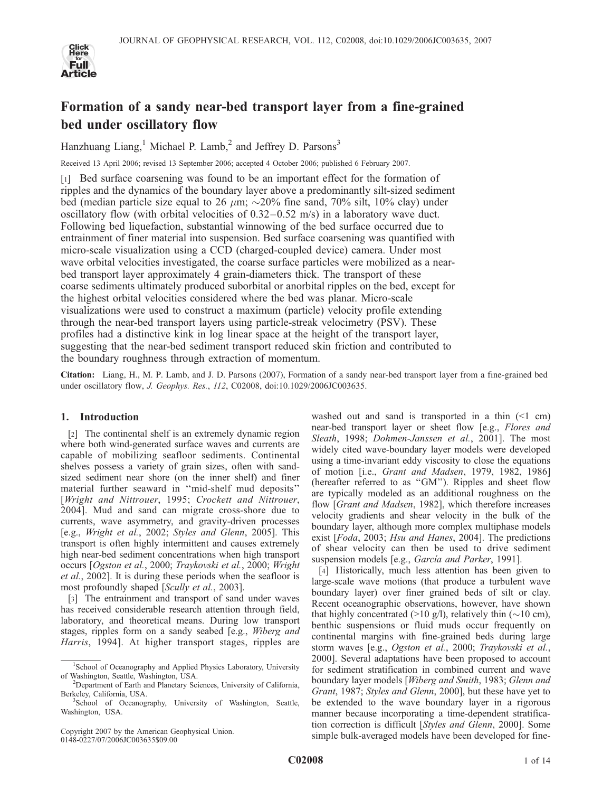

# Formation of a sandy near-bed transport layer from a fine-grained bed under oscillatory flow

Hanzhuang Liang,<sup>1</sup> Michael P. Lamb,<sup>2</sup> and Jeffrey D. Parsons<sup>3</sup>

Received 13 April 2006; revised 13 September 2006; accepted 4 October 2006; published 6 February 2007.

[1] Bed surface coarsening was found to be an important effect for the formation of ripples and the dynamics of the boundary layer above a predominantly silt-sized sediment bed (median particle size equal to 26  $\mu$ m;  $\sim$ 20% fine sand, 70% silt, 10% clay) under oscillatory flow (with orbital velocities of  $0.32 - 0.52$  m/s) in a laboratory wave duct. Following bed liquefaction, substantial winnowing of the bed surface occurred due to entrainment of finer material into suspension. Bed surface coarsening was quantified with micro-scale visualization using a CCD (charged-coupled device) camera. Under most wave orbital velocities investigated, the coarse surface particles were mobilized as a nearbed transport layer approximately 4 grain-diameters thick. The transport of these coarse sediments ultimately produced suborbital or anorbital ripples on the bed, except for the highest orbital velocities considered where the bed was planar. Micro-scale visualizations were used to construct a maximum (particle) velocity profile extending through the near-bed transport layers using particle-streak velocimetry (PSV). These profiles had a distinctive kink in log linear space at the height of the transport layer, suggesting that the near-bed sediment transport reduced skin friction and contributed to the boundary roughness through extraction of momentum.

Citation: Liang, H., M. P. Lamb, and J. D. Parsons (2007), Formation of a sandy near-bed transport layer from a fine-grained bed under oscillatory flow, *J. Geophys. Res.*, 112, C02008, doi:10.1029/2006JC003635.

# 1. Introduction

[2] The continental shelf is an extremely dynamic region where both wind-generated surface waves and currents are capable of mobilizing seafloor sediments. Continental shelves possess a variety of grain sizes, often with sandsized sediment near shore (on the inner shelf) and finer material further seaward in ''mid-shelf mud deposits'' [Wright and Nittrouer, 1995; Crockett and Nittrouer, 2004]. Mud and sand can migrate cross-shore due to currents, wave asymmetry, and gravity-driven processes [e.g., Wright et al., 2002; Styles and Glenn, 2005]. This transport is often highly intermittent and causes extremely high near-bed sediment concentrations when high transport occurs [Ogston et al., 2000; Traykovski et al., 2000; Wright et al., 2002]. It is during these periods when the seafloor is most profoundly shaped [Scully et al., 2003].

[3] The entrainment and transport of sand under waves has received considerable research attention through field, laboratory, and theoretical means. During low transport stages, ripples form on a sandy seabed [e.g., Wiberg and Harris, 1994]. At higher transport stages, ripples are

washed out and sand is transported in a thin  $(\leq 1 \text{ cm})$ near-bed transport layer or sheet flow [e.g., Flores and Sleath, 1998; Dohmen-Janssen et al., 2001]. The most widely cited wave-boundary layer models were developed using a time-invariant eddy viscosity to close the equations of motion [i.e., Grant and Madsen, 1979, 1982, 1986] (hereafter referred to as ''GM''). Ripples and sheet flow are typically modeled as an additional roughness on the flow [Grant and Madsen, 1982], which therefore increases velocity gradients and shear velocity in the bulk of the boundary layer, although more complex multiphase models exist [Foda, 2003; Hsu and Hanes, 2004]. The predictions of shear velocity can then be used to drive sediment suspension models [e.g., García and Parker, 1991].

[4] Historically, much less attention has been given to large-scale wave motions (that produce a turbulent wave boundary layer) over finer grained beds of silt or clay. Recent oceanographic observations, however, have shown that highly concentrated ( $>10$  g/l), relatively thin ( $\sim$ 10 cm), benthic suspensions or fluid muds occur frequently on continental margins with fine-grained beds during large storm waves [e.g., Ogston et al., 2000; Traykovski et al., 2000]. Several adaptations have been proposed to account for sediment stratification in combined current and wave boundary layer models [Wiberg and Smith, 1983; Glenn and Grant, 1987; Styles and Glenn, 2000], but these have yet to be extended to the wave boundary layer in a rigorous manner because incorporating a time-dependent stratification correction is difficult [Styles and Glenn, 2000]. Some simple bulk-averaged models have been developed for fine-

<sup>&</sup>lt;sup>1</sup>School of Oceanography and Applied Physics Laboratory, University of Washington, Seattle, Washington, USA. <sup>2</sup>

<sup>&</sup>lt;sup>2</sup>Department of Earth and Planetary Sciences, University of California, Berkeley, California, USA. <sup>3</sup>

School of Oceanography, University of Washington, Seattle, Washington, USA.

Copyright 2007 by the American Geophysical Union. 0148-0227/07/2006JC003635\$09.00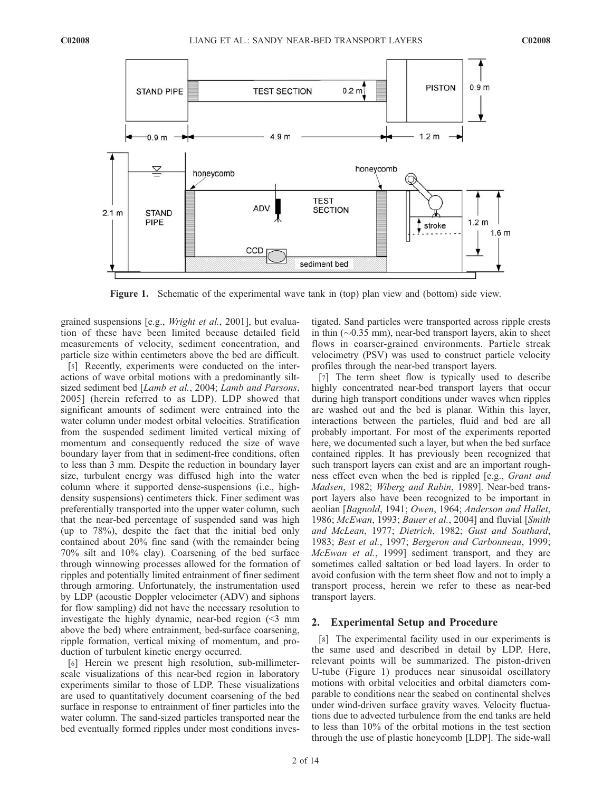

Figure 1. Schematic of the experimental wave tank in (top) plan view and (bottom) side view.

grained suspensions [e.g., Wright et al., 2001], but evaluation of these have been limited because detailed field measurements of velocity, sediment concentration, and particle size within centimeters above the bed are difficult.

[5] Recently, experiments were conducted on the interactions of wave orbital motions with a predominantly siltsized sediment bed [Lamb et al., 2004; Lamb and Parsons, 2005] (herein referred to as LDP). LDP showed that significant amounts of sediment were entrained into the water column under modest orbital velocities. Stratification from the suspended sediment limited vertical mixing of momentum and consequently reduced the size of wave boundary layer from that in sediment-free conditions, often to less than 3 mm. Despite the reduction in boundary layer size, turbulent energy was diffused high into the water column where it supported dense-suspensions (i.e., highdensity suspensions) centimeters thick. Finer sediment was preferentially transported into the upper water column, such that the near-bed percentage of suspended sand was high (up to 78%), despite the fact that the initial bed only contained about 20% fine sand (with the remainder being 70% silt and 10% clay). Coarsening of the bed surface through winnowing processes allowed for the formation of ripples and potentially limited entrainment of finer sediment through armoring. Unfortunately, the instrumentation used by LDP (acoustic Doppler velocimeter (ADV) and siphons for flow sampling) did not have the necessary resolution to investigate the highly dynamic, near-bed region (<3 mm above the bed) where entrainment, bed-surface coarsening, ripple formation, vertical mixing of momentum, and production of turbulent kinetic energy occurred.

[6] Herein we present high resolution, sub-millimeterscale visualizations of this near-bed region in laboratory experiments similar to those of LDP. These visualizations are used to quantitatively document coarsening of the bed surface in response to entrainment of finer particles into the water column. The sand-sized particles transported near the bed eventually formed ripples under most conditions inves-

tigated. Sand particles were transported across ripple crests in thin  $(\sim 0.35$  mm), near-bed transport layers, akin to sheet flows in coarser-grained environments. Particle streak velocimetry (PSV) was used to construct particle velocity profiles through the near-bed transport layers.

[7] The term sheet flow is typically used to describe highly concentrated near-bed transport layers that occur during high transport conditions under waves when ripples are washed out and the bed is planar. Within this layer, interactions between the particles, fluid and bed are all probably important. For most of the experiments reported here, we documented such a layer, but when the bed surface contained ripples. It has previously been recognized that such transport layers can exist and are an important roughness effect even when the bed is rippled [e.g., Grant and Madsen, 1982; Wiberg and Rubin, 1989]. Near-bed transport layers also have been recognized to be important in aeolian [Bagnold, 1941; Owen, 1964; Anderson and Hallet, 1986; McEwan, 1993; Bauer et al., 2004] and fluvial [Smith and McLean, 1977; Dietrich, 1982; Gust and Southard, 1983; Best et al., 1997; Bergeron and Carbonneau, 1999; McEwan et al., 1999] sediment transport, and they are sometimes called saltation or bed load layers. In order to avoid confusion with the term sheet flow and not to imply a transport process, herein we refer to these as near-bed transport layers.

## 2. Experimental Setup and Procedure

[8] The experimental facility used in our experiments is the same used and described in detail by LDP. Here, relevant points will be summarized. The piston-driven U-tube (Figure 1) produces near sinusoidal oscillatory motions with orbital velocities and orbital diameters comparable to conditions near the seabed on continental shelves under wind-driven surface gravity waves. Velocity fluctuations due to advected turbulence from the end tanks are held to less than 10% of the orbital motions in the test section through the use of plastic honeycomb [LDP]. The side-wall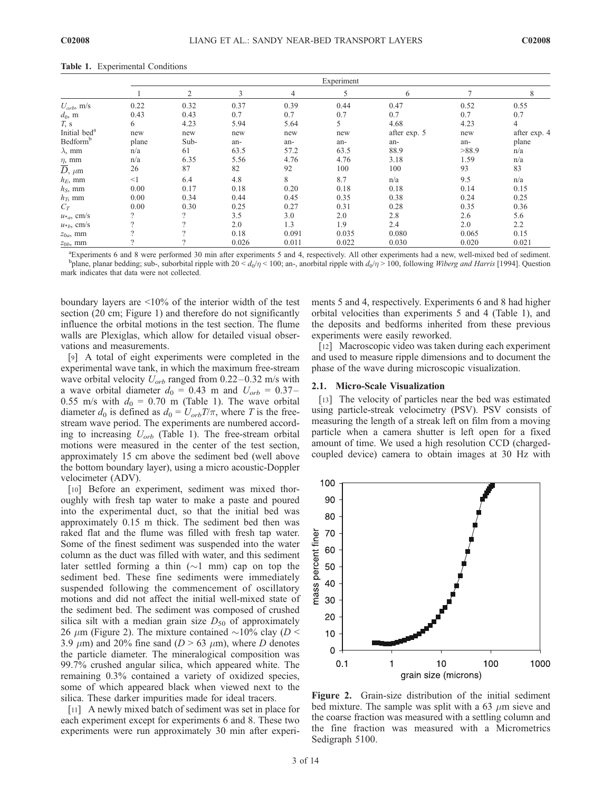|                                                   | Experiment |          |       |       |       |              |       |              |
|---------------------------------------------------|------------|----------|-------|-------|-------|--------------|-------|--------------|
|                                                   |            | 2        | 3     | 4     | 5     | 6            |       | 8            |
| $U_{orb}$ , m/s                                   | 0.22       | 0.32     | 0.37  | 0.39  | 0.44  | 0.47         | 0.52  | 0.55         |
| $d_0$ , m                                         | 0.43       | 0.43     | 0.7   | 0.7   | 0.7   | 0.7          | 0.7   | 0.7          |
| T, s                                              | 6          | 4.23     | 5.94  | 5.64  | 5     | 4.68         | 4.23  | 4            |
| Initial bed <sup>a</sup>                          | new        | new      | new   | new   | new   | after exp. 5 | new   | after exp. 4 |
| Bedform <sup>b</sup>                              | plane      | Sub-     | an-   | an-   | an-   | an-          | an-   | plane        |
| $\lambda$ , mm                                    | n/a        | 61       | 63.5  | 57.2  | 63.5  | 88.9         | >88.9 | n/a          |
|                                                   | n/a        | 6.35     | 5.56  | 4.76  | 4.76  | 3.18         | 1.59  | n/a          |
| $\frac{\eta}{D}$ mm<br>$\frac{\eta}{D}$ , $\mu$ m | 26         | 87       | 82    | 92    | 100   | 100          | 93    | 83           |
| $h_F$ , mm                                        | <1         | 6.4      | 4.8   | 8     | 8.7   | n/a          | 9.5   | n/a          |
| $hS$ , mm                                         | 0.00       | 0.17     | 0.18  | 0.20  | 0.18  | 0.18         | 0.14  | 0.15         |
| $h_T$ , mm                                        | 0.00       | 0.34     | 0.44  | 0.45  | 0.35  | 0.38         | 0.24  | 0.25         |
| $C_T$                                             | 0.00       | 0.30     | 0.25  | 0.27  | 0.31  | 0.28         | 0.35  | 0.36         |
| $u_{a}$ , cm/s                                    | $\gamma$   | $\gamma$ | 3.5   | 3.0   | 2.0   | 2.8          | 2.6   | 5.6          |
| $u_{\ast b}$ , cm/s                               |            |          | 2.0   | 1.3   | 1.9   | 2.4          | 2.0   | 2.2          |
| $z_{0a}$ , mm                                     |            |          | 0.18  | 0.091 | 0.035 | 0.080        | 0.065 | 0.15         |
| $z_{0b}$ , mm                                     |            |          | 0.026 | 0.011 | 0.022 | 0.030        | 0.020 | 0.021        |

Table 1. Experimental Conditions

a Experiments 6 and 8 were performed 30 min after experiments 5 and 4, respectively. All other experiments had a new, well-mixed bed of sediment. <sup>b</sup> plane, planar bedding; sub-, suborbital ripple with 20 <  $d_0/\eta$  < 100; an-, anorbital ripple with  $d_0/\eta$  > 100, following Wiberg and Harris [1994]. Question mark indicates that data were not collected.

boundary layers are <10% of the interior width of the test section (20 cm; Figure 1) and therefore do not significantly influence the orbital motions in the test section. The flume walls are Plexiglas, which allow for detailed visual observations and measurements.

[9] A total of eight experiments were completed in the experimental wave tank, in which the maximum free-stream wave orbital velocity  $U_{orb}$  ranged from 0.22–0.32 m/s with a wave orbital diameter  $d_0 = 0.43$  m and  $U_{orb} = 0.37 -$ 0.55 m/s with  $d_0 = 0.70$  m (Table 1). The wave orbital diameter  $d_0$  is defined as  $d_0 = U_{orb} T/\pi$ , where T is the freestream wave period. The experiments are numbered according to increasing  $U_{orb}$  (Table 1). The free-stream orbital motions were measured in the center of the test section, approximately 15 cm above the sediment bed (well above the bottom boundary layer), using a micro acoustic-Doppler velocimeter (ADV).

[10] Before an experiment, sediment was mixed thoroughly with fresh tap water to make a paste and poured into the experimental duct, so that the initial bed was approximately 0.15 m thick. The sediment bed then was raked flat and the flume was filled with fresh tap water. Some of the finest sediment was suspended into the water column as the duct was filled with water, and this sediment later settled forming a thin  $(\sim 1 \text{ mm})$  cap on top the sediment bed. These fine sediments were immediately suspended following the commencement of oscillatory motions and did not affect the initial well-mixed state of the sediment bed. The sediment was composed of crushed silica silt with a median grain size  $D_{50}$  of approximately 26  $\mu$ m (Figure 2). The mixture contained  $\sim$ 10% clay (D < 3.9  $\mu$ m) and 20% fine sand (D > 63  $\mu$ m), where D denotes the particle diameter. The mineralogical composition was 99.7% crushed angular silica, which appeared white. The remaining 0.3% contained a variety of oxidized species, some of which appeared black when viewed next to the silica. These darker impurities made for ideal tracers.

[11] A newly mixed batch of sediment was set in place for each experiment except for experiments 6 and 8. These two experiments were run approximately 30 min after experiments 5 and 4, respectively. Experiments 6 and 8 had higher orbital velocities than experiments 5 and 4 (Table 1), and the deposits and bedforms inherited from these previous experiments were easily reworked.

[12] Macroscopic video was taken during each experiment and used to measure ripple dimensions and to document the phase of the wave during microscopic visualization.

# 2.1. Micro-Scale Visualization

[13] The velocity of particles near the bed was estimated using particle-streak velocimetry (PSV). PSV consists of measuring the length of a streak left on film from a moving particle when a camera shutter is left open for a fixed amount of time. We used a high resolution CCD (chargedcoupled device) camera to obtain images at 30 Hz with



Figure 2. Grain-size distribution of the initial sediment bed mixture. The sample was split with a 63  $\mu$ m sieve and the coarse fraction was measured with a settling column and the fine fraction was measured with a Micrometrics Sedigraph 5100.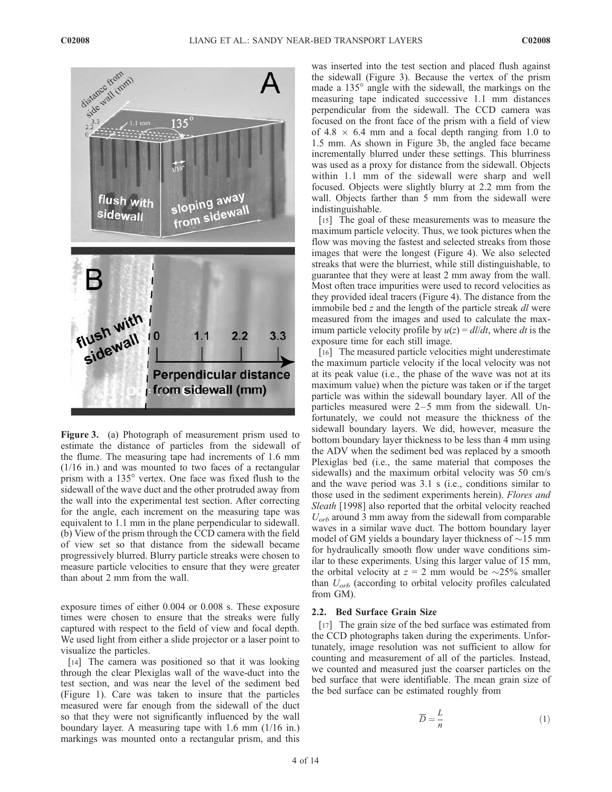

Figure 3. (a) Photograph of measurement prism used to estimate the distance of particles from the sidewall of the flume. The measuring tape had increments of 1.6 mm (1/16 in.) and was mounted to two faces of a rectangular prism with a 135° vertex. One face was fixed flush to the sidewall of the wave duct and the other protruded away from the wall into the experimental test section. After correcting for the angle, each increment on the measuring tape was equivalent to 1.1 mm in the plane perpendicular to sidewall. (b) View of the prism through the CCD camera with the field of view set so that distance from the sidewall became progressively blurred. Blurry particle streaks were chosen to measure particle velocities to ensure that they were greater than about 2 mm from the wall.

exposure times of either 0.004 or 0.008 s. These exposure times were chosen to ensure that the streaks were fully captured with respect to the field of view and focal depth. We used light from either a slide projector or a laser point to visualize the particles.

[14] The camera was positioned so that it was looking through the clear Plexiglas wall of the wave-duct into the test section, and was near the level of the sediment bed (Figure 1). Care was taken to insure that the particles measured were far enough from the sidewall of the duct so that they were not significantly influenced by the wall boundary layer. A measuring tape with 1.6 mm (1/16 in.) markings was mounted onto a rectangular prism, and this

was inserted into the test section and placed flush against the sidewall (Figure 3). Because the vertex of the prism made a  $135^\circ$  angle with the sidewall, the markings on the measuring tape indicated successive 1.1 mm distances perpendicular from the sidewall. The CCD camera was focused on the front face of the prism with a field of view of  $4.8 \times 6.4$  mm and a focal depth ranging from 1.0 to 1.5 mm. As shown in Figure 3b, the angled face became incrementally blurred under these settings. This blurriness was used as a proxy for distance from the sidewall. Objects within 1.1 mm of the sidewall were sharp and well focused. Objects were slightly blurry at 2.2 mm from the wall. Objects farther than 5 mm from the sidewall were indistinguishable.

[15] The goal of these measurements was to measure the maximum particle velocity. Thus, we took pictures when the flow was moving the fastest and selected streaks from those images that were the longest (Figure 4). We also selected streaks that were the blurriest, while still distinguishable, to guarantee that they were at least 2 mm away from the wall. Most often trace impurities were used to record velocities as they provided ideal tracers (Figure 4). The distance from the immobile bed z and the length of the particle streak dl were measured from the images and used to calculate the maximum particle velocity profile by  $u(z) = dl/dt$ , where dt is the exposure time for each still image.

[16] The measured particle velocities might underestimate the maximum particle velocity if the local velocity was not at its peak value (i.e., the phase of the wave was not at its maximum value) when the picture was taken or if the target particle was within the sidewall boundary layer. All of the particles measured were  $2-5$  mm from the sidewall. Unfortunately, we could not measure the thickness of the sidewall boundary layers. We did, however, measure the bottom boundary layer thickness to be less than 4 mm using the ADV when the sediment bed was replaced by a smooth Plexiglas bed (i.e., the same material that composes the sidewalls) and the maximum orbital velocity was 50 cm/s and the wave period was 3.1 s (i.e., conditions similar to those used in the sediment experiments herein). Flores and Sleath [1998] also reported that the orbital velocity reached  $U_{\alpha r}$  around 3 mm away from the sidewall from comparable waves in a similar wave duct. The bottom boundary layer model of GM yields a boundary layer thickness of  $\sim$ 15 mm for hydraulically smooth flow under wave conditions similar to these experiments. Using this larger value of 15 mm, the orbital velocity at  $z = 2$  mm would be  $\sim$ 25% smaller than  $U_{orb}$  (according to orbital velocity profiles calculated from GM).

# 2.2. Bed Surface Grain Size

[17] The grain size of the bed surface was estimated from the CCD photographs taken during the experiments. Unfortunately, image resolution was not sufficient to allow for counting and measurement of all of the particles. Instead, we counted and measured just the coarser particles on the bed surface that were identifiable. The mean grain size of the bed surface can be estimated roughly from

$$
\overline{D} = \frac{L}{n} \tag{1}
$$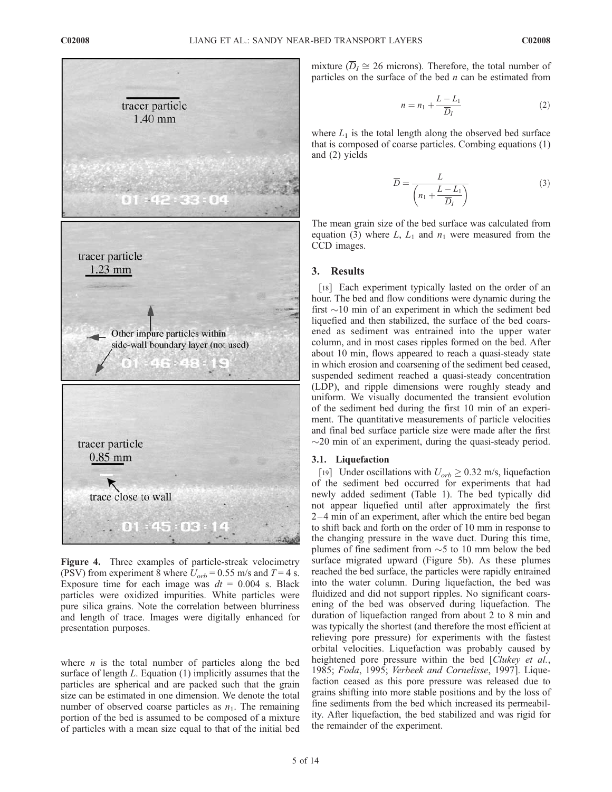

Figure 4. Three examples of particle-streak velocimetry (PSV) from experiment 8 where  $U_{orb} = 0.55$  m/s and  $T = 4$  s. Exposure time for each image was  $dt = 0.004$  s. Black particles were oxidized impurities. White particles were pure silica grains. Note the correlation between blurriness and length of trace. Images were digitally enhanced for presentation purposes.

where  $n$  is the total number of particles along the bed surface of length  $L$ . Equation  $(1)$  implicitly assumes that the particles are spherical and are packed such that the grain size can be estimated in one dimension. We denote the total number of observed coarse particles as  $n_1$ . The remaining portion of the bed is assumed to be composed of a mixture of particles with a mean size equal to that of the initial bed

mixture ( $\overline{D}_I \cong 26$  microns). Therefore, the total number of particles on the surface of the bed  $n$  can be estimated from

$$
n = n_1 + \frac{L - L_1}{\overline{D}_I} \tag{2}
$$

where  $L_1$  is the total length along the observed bed surface that is composed of coarse particles. Combing equations (1) and (2) yields

$$
\overline{D} = \frac{L}{\left(n_1 + \frac{L - L_1}{\overline{D}_I}\right)}\tag{3}
$$

The mean grain size of the bed surface was calculated from equation (3) where L,  $L_1$  and  $n_1$  were measured from the CCD images.

## 3. Results

[18] Each experiment typically lasted on the order of an hour. The bed and flow conditions were dynamic during the first  $\sim$ 10 min of an experiment in which the sediment bed liquefied and then stabilized, the surface of the bed coarsened as sediment was entrained into the upper water column, and in most cases ripples formed on the bed. After about 10 min, flows appeared to reach a quasi-steady state in which erosion and coarsening of the sediment bed ceased, suspended sediment reached a quasi-steady concentration (LDP), and ripple dimensions were roughly steady and uniform. We visually documented the transient evolution of the sediment bed during the first 10 min of an experiment. The quantitative measurements of particle velocities and final bed surface particle size were made after the first  $\sim$ 20 min of an experiment, during the quasi-steady period.

#### 3.1. Liquefaction

[19] Under oscillations with  $U_{orb} \ge 0.32$  m/s, liquefaction of the sediment bed occurred for experiments that had newly added sediment (Table 1). The bed typically did not appear liquefied until after approximately the first 2– 4 min of an experiment, after which the entire bed began to shift back and forth on the order of 10 mm in response to the changing pressure in the wave duct. During this time, plumes of fine sediment from  $\sim$  5 to 10 mm below the bed surface migrated upward (Figure 5b). As these plumes reached the bed surface, the particles were rapidly entrained into the water column. During liquefaction, the bed was fluidized and did not support ripples. No significant coarsening of the bed was observed during liquefaction. The duration of liquefaction ranged from about 2 to 8 min and was typically the shortest (and therefore the most efficient at relieving pore pressure) for experiments with the fastest orbital velocities. Liquefaction was probably caused by heightened pore pressure within the bed [Clukey et al., 1985; Foda, 1995; Verbeek and Cornelisse, 1997]. Liquefaction ceased as this pore pressure was released due to grains shifting into more stable positions and by the loss of fine sediments from the bed which increased its permeability. After liquefaction, the bed stabilized and was rigid for the remainder of the experiment.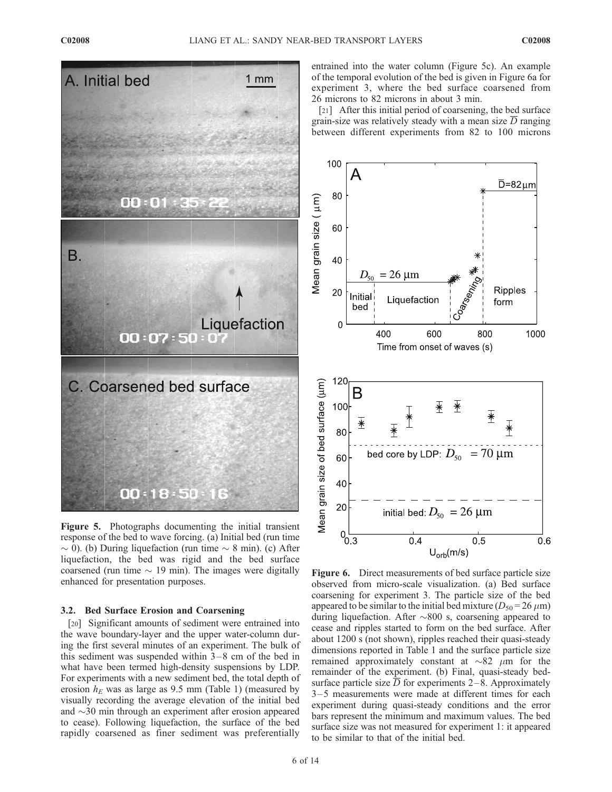

Figure 5. Photographs documenting the initial transient response of the bed to wave forcing. (a) Initial bed (run time  $\sim$  0). (b) During liquefaction (run time  $\sim$  8 min). (c) After liquefaction, the bed was rigid and the bed surface coarsened (run time  $\sim$  19 min). The images were digitally coarsened (run time  $\sim$  19 min). The images were digitally **Figure 6.** Direct measurements of bed surface particle size<br>enhanced for presentation purposes.<br>observed from micro-scale visualization (a) Bed surface

# 3.2. Bed Surface Erosion and Coarsening

[20] Significant amounts of sediment were entrained into the wave boundary-layer and the upper water-column during the first several minutes of an experiment. The bulk of this sediment was suspended within  $3-8$  cm of the bed in what have been termed high-density suspensions by LDP. For experiments with a new sediment bed, the total depth of erosion  $h_E$  was as large as 9.5 mm (Table 1) (measured by visually recording the average elevation of the initial bed and  $\sim$ 30 min through an experiment after erosion appeared to cease). Following liquefaction, the surface of the bed rapidly coarsened as finer sediment was preferentially

entrained into the water column (Figure 5c). An example of the temporal evolution of the bed is given in Figure 6a for experiment 3, where the bed surface coarsened from 26 microns to 82 microns in about 3 min.

[21] After this initial period of coarsening, the bed surface grain-size was relatively steady with a mean size  $\overline{D}$  ranging between different experiments from 82 to 100 microns



observed from micro-scale visualization. (a) Bed surface coarsening for experiment 3. The particle size of the bed appeared to be similar to the initial bed mixture ( $D_{50} = 26 \ \mu m$ ) during liquefaction. After  $\sim 800$  s, coarsening appeared to cease and ripples started to form on the bed surface. After about 1200 s (not shown), ripples reached their quasi-steady dimensions reported in Table 1 and the surface particle size remained approximately constant at  $\sim 82$   $\mu$ m for the remainder of the experiment. (b) Final, quasi-steady bedsurface particle size  $D$  for experiments 2–8. Approximately 3– 5 measurements were made at different times for each experiment during quasi-steady conditions and the error bars represent the minimum and maximum values. The bed surface size was not measured for experiment 1: it appeared to be similar to that of the initial bed.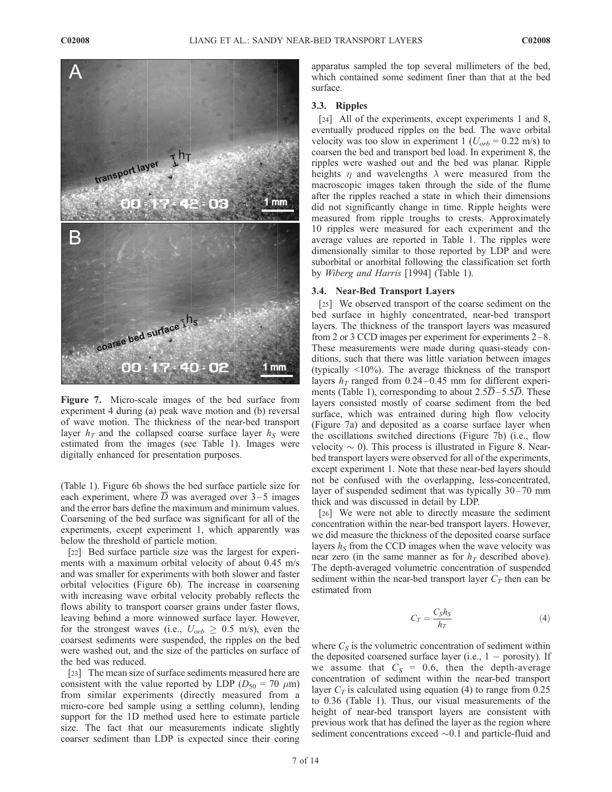

Figure 7. Micro-scale images of the bed surface from experiment 4 during (a) peak wave motion and (b) reversal of wave motion. The thickness of the near-bed transport layer  $h<sub>T</sub>$  and the collapsed coarse surface layer  $h<sub>S</sub>$  were estimated from the images (see Table 1). Images were digitally enhanced for presentation purposes.

(Table 1). Figure 6b shows the bed surface particle size for each experiment, where  $\overline{D}$  was averaged over 3–5 images and the error bars define the maximum and minimum values. Coarsening of the bed surface was significant for all of the experiments, except experiment 1, which apparently was below the threshold of particle motion.

[22] Bed surface particle size was the largest for experiments with a maximum orbital velocity of about 0.45 m/s and was smaller for experiments with both slower and faster orbital velocities (Figure 6b). The increase in coarsening with increasing wave orbital velocity probably reflects the flows ability to transport coarser grains under faster flows, leaving behind a more winnowed surface layer. However, for the strongest waves (i.e.,  $U_{orb} \geq 0.5$  m/s), even the coarsest sediments were suspended, the ripples on the bed were washed out, and the size of the particles on surface of the bed was reduced.

[23] The mean size of surface sediments measured here are consistent with the value reported by LDP ( $D_{50}$  = 70  $\mu$ m) from similar experiments (directly measured from a micro-core bed sample using a settling column), lending support for the 1D method used here to estimate particle size. The fact that our measurements indicate slightly coarser sediment than LDP is expected since their coring

apparatus sampled the top several millimeters of the bed, which contained some sediment finer than that at the bed surface.

#### 3.3. Ripples

[24] All of the experiments, except experiments 1 and 8, eventually produced ripples on the bed. The wave orbital velocity was too slow in experiment 1 ( $U_{orb} = 0.22$  m/s) to coarsen the bed and transport bed load. In experiment 8, the ripples were washed out and the bed was planar. Ripple heights  $\eta$  and wavelengths  $\lambda$  were measured from the macroscopic images taken through the side of the flume after the ripples reached a state in which their dimensions did not significantly change in time. Ripple heights were measured from ripple troughs to crests. Approximately 10 ripples were measured for each experiment and the average values are reported in Table 1. The ripples were dimensionally similar to those reported by LDP and were suborbital or anorbital following the classification set forth by Wiberg and Harris [1994] (Table 1).

# 3.4. Near-Bed Transport Layers

[25] We observed transport of the coarse sediment on the bed surface in highly concentrated, near-bed transport layers. The thickness of the transport layers was measured from 2 or 3 CCD images per experiment for experiments 2–8. These measurements were made during quasi-steady conditions, such that there was little variation between images (typically <10%). The average thickness of the transport layers  $h<sub>T</sub>$  ranged from 0.24–0.45 mm for different experiments (Table 1), corresponding to about  $2.5D - 5.5D$ . These layers consisted mostly of coarse sediment from the bed surface, which was entrained during high flow velocity (Figure 7a) and deposited as a coarse surface layer when the oscillations switched directions (Figure 7b) (i.e., flow velocity  $\sim$  0). This process is illustrated in Figure 8. Nearbed transport layers were observed for all of the experiments, except experiment 1. Note that these near-bed layers should not be confused with the overlapping, less-concentrated, layer of suspended sediment that was typically 30–70 mm thick and was discussed in detail by LDP.

[26] We were not able to directly measure the sediment concentration within the near-bed transport layers. However, we did measure the thickness of the deposited coarse surface layers  $h<sub>S</sub>$  from the CCD images when the wave velocity was near zero (in the same manner as for  $h<sub>T</sub>$  described above). The depth-averaged volumetric concentration of suspended sediment within the near-bed transport layer  $C_T$  then can be estimated from

$$
C_T = \frac{C_S h_S}{h_T} \tag{4}
$$

where  $C_S$  is the volumetric concentration of sediment within the deposited coarsened surface layer (i.e.,  $1 -$  porosity). If we assume that  $C_S = 0.6$ , then the depth-average concentration of sediment within the near-bed transport layer  $C_T$  is calculated using equation (4) to range from 0.25 to 0.36 (Table 1). Thus, our visual measurements of the height of near-bed transport layers are consistent with previous work that has defined the layer as the region where sediment concentrations exceed  $\sim 0.1$  and particle-fluid and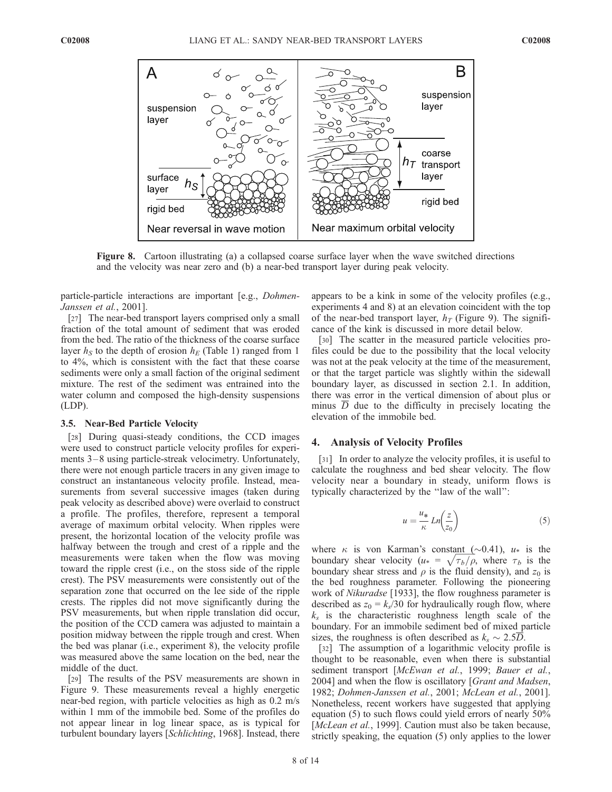

Figure 8. Cartoon illustrating (a) a collapsed coarse surface layer when the wave switched directions and the velocity was near zero and (b) a near-bed transport layer during peak velocity.

particle-particle interactions are important [e.g., Dohmen-Janssen et al., 2001].

[27] The near-bed transport layers comprised only a small fraction of the total amount of sediment that was eroded from the bed. The ratio of the thickness of the coarse surface layer  $h<sub>S</sub>$  to the depth of erosion  $h<sub>E</sub>$  (Table 1) ranged from 1 to 4%, which is consistent with the fact that these coarse sediments were only a small faction of the original sediment mixture. The rest of the sediment was entrained into the water column and composed the high-density suspensions (LDP).

#### 3.5. Near-Bed Particle Velocity

[28] During quasi-steady conditions, the CCD images were used to construct particle velocity profiles for experiments 3–8 using particle-streak velocimetry. Unfortunately, there were not enough particle tracers in any given image to construct an instantaneous velocity profile. Instead, measurements from several successive images (taken during peak velocity as described above) were overlaid to construct a profile. The profiles, therefore, represent a temporal average of maximum orbital velocity. When ripples were present, the horizontal location of the velocity profile was halfway between the trough and crest of a ripple and the measurements were taken when the flow was moving toward the ripple crest (i.e., on the stoss side of the ripple crest). The PSV measurements were consistently out of the separation zone that occurred on the lee side of the ripple crests. The ripples did not move significantly during the PSV measurements, but when ripple translation did occur, the position of the CCD camera was adjusted to maintain a position midway between the ripple trough and crest. When the bed was planar (i.e., experiment 8), the velocity profile was measured above the same location on the bed, near the middle of the duct.

[29] The results of the PSV measurements are shown in Figure 9. These measurements reveal a highly energetic near-bed region, with particle velocities as high as 0.2 m/s within 1 mm of the immobile bed. Some of the profiles do not appear linear in log linear space, as is typical for turbulent boundary layers [Schlichting, 1968]. Instead, there appears to be a kink in some of the velocity profiles (e.g., experiments 4 and 8) at an elevation coincident with the top of the near-bed transport layer,  $h<sub>T</sub>$  (Figure 9). The significance of the kink is discussed in more detail below.

[30] The scatter in the measured particle velocities profiles could be due to the possibility that the local velocity was not at the peak velocity at the time of the measurement, or that the target particle was slightly within the sidewall boundary layer, as discussed in section 2.1. In addition, there was error in the vertical dimension of about plus or minus  $\overline{D}$  due to the difficulty in precisely locating the elevation of the immobile bed.

## 4. Analysis of Velocity Profiles

[31] In order to analyze the velocity profiles, it is useful to calculate the roughness and bed shear velocity. The flow velocity near a boundary in steady, uniform flows is typically characterized by the ''law of the wall'':

$$
u = \frac{u_*}{\kappa} Ln\left(\frac{z}{z_0}\right) \tag{5}
$$

where  $\kappa$  is von Karman's constant ( $\sim$ 0.41),  $u_*$  is the boundary shear velocity  $(u_* = \sqrt{\tau_b/\rho}$ , where  $\tau_b$  is the boundary shear stress and  $\rho$  is the fluid density), and  $z_0$  is the bed roughness parameter. Following the pioneering work of *Nikuradse* [1933], the flow roughness parameter is described as  $z_0 = k_s/30$  for hydraulically rough flow, where  $k<sub>s</sub>$  is the characteristic roughness length scale of the boundary. For an immobile sediment bed of mixed particle sizes, the roughness is often described as  $k_s \sim 2.5\overline{D}$ .

[32] The assumption of a logarithmic velocity profile is thought to be reasonable, even when there is substantial sediment transport [McEwan et al., 1999; Bauer et al., 2004] and when the flow is oscillatory [Grant and Madsen, 1982; Dohmen-Janssen et al., 2001; McLean et al., 2001]. Nonetheless, recent workers have suggested that applying equation (5) to such flows could yield errors of nearly 50% [McLean et al., 1999]. Caution must also be taken because, strictly speaking, the equation (5) only applies to the lower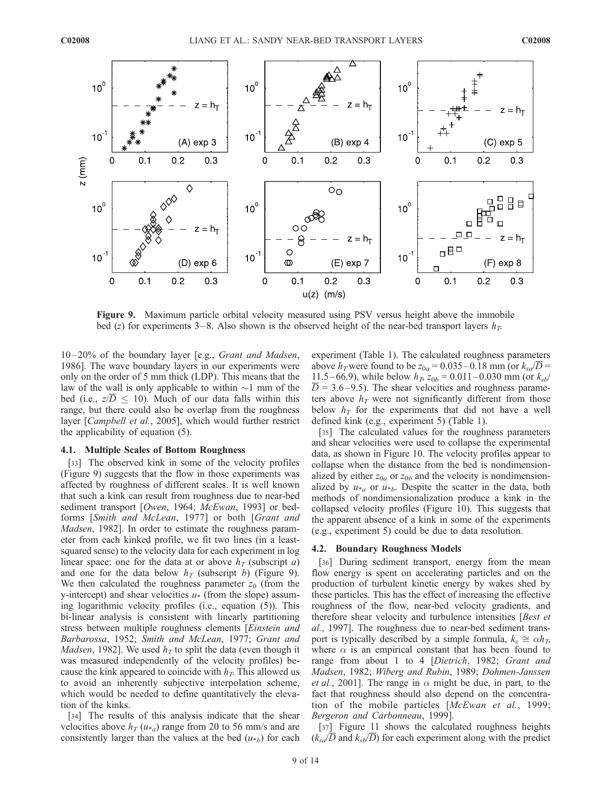

Figure 9. Maximum particle orbital velocity measured using PSV versus height above the immobile bed (z) for experiments 3–8. Also shown is the observed height of the near-bed transport layers  $h_T$ .

10–20% of the boundary layer [e.g., *Grant and Madsen*, 1986]. The wave boundary layers in our experiments were only on the order of 5 mm thick (LDP). This means that the law of the wall is only applicable to within  $\sim$ 1 mm of the bed (i.e.,  $z/D \leq 10$ ). Much of our data falls within this range, but there could also be overlap from the roughness layer [Campbell et al., 2005], which would further restrict the applicability of equation (5).

#### 4.1. Multiple Scales of Bottom Roughness

[33] The observed kink in some of the velocity profiles (Figure 9) suggests that the flow in those experiments was affected by roughness of different scales. It is well known that such a kink can result from roughness due to near-bed sediment transport [Owen, 1964; McEwan, 1993] or bedforms [Smith and McLean, 1977] or both [Grant and Madsen, 1982]. In order to estimate the roughness parameter from each kinked profile, we fit two lines (in a leastsquared sense) to the velocity data for each experiment in log linear space: one for the data at or above  $h<sub>T</sub>$  (subscript a) and one for the data below  $h<sub>T</sub>$  (subscript b) (Figure 9). We then calculated the roughness parameter  $z_0$  (from the y-intercept) and shear velocities  $u$ <sup>\*</sup> (from the slope) assuming logarithmic velocity profiles (i.e., equation (5)). This bi-linear analysis is consistent with linearly partitioning stress between multiple roughness elements [Einstein and Barbarossa, 1952; Smith and McLean, 1977; Grant and *Madsen*, 1982]. We used  $h<sub>T</sub>$  to split the data (even though it was measured independently of the velocity profiles) because the kink appeared to coincide with  $h<sub>T</sub>$ . This allowed us to avoid an inherently subjective interpolation scheme, which would be needed to define quantitatively the elevation of the kinks.

[34] The results of this analysis indicate that the shear velocities above  $h_T(u_{*a})$  range from 20 to 56 mm/s and are consistently larger than the values at the bed  $(u_{*b})$  for each experiment (Table 1). The calculated roughness parameters above  $h_T$  were found to be  $z_{0a} = 0.035 - 0.18$  mm (or  $k_{sa}/D =$ 11.5–66.9), while below  $h<sub>T</sub>$ ,  $z<sub>0b</sub>$  = 0.011–0.030 mm (or  $k<sub>sb</sub>$ )  $\overline{D}$  = 3.6–9.5). The shear velocities and roughness parameters above  $h<sub>T</sub>$  were not significantly different from those below  $h<sub>T</sub>$  for the experiments that did not have a well defined kink (e.g., experiment 5) (Table 1).

[35] The calculated values for the roughness parameters and shear velocities were used to collapse the experimental data, as shown in Figure 10. The velocity profiles appear to collapse when the distance from the bed is nondimensionalized by either  $z_{0a}$  or  $z_{0b}$  and the velocity is nondimensionalized by  $u_{a}$  or  $u_{b}$ . Despite the scatter in the data, both methods of nondimensionalization produce a kink in the collapsed velocity profiles (Figure 10). This suggests that the apparent absence of a kink in some of the experiments (e.g., experiment 5) could be due to data resolution.

# 4.2. Boundary Roughness Models

[36] During sediment transport, energy from the mean flow energy is spent on accelerating particles and on the production of turbulent kinetic energy by wakes shed by these particles. This has the effect of increasing the effective roughness of the flow, near-bed velocity gradients, and therefore shear velocity and turbulence intensities [Best et al., 1997]. The roughness due to near-bed sediment transport is typically described by a simple formula,  $k_s \cong \alpha h_{\mathcal{B}}$ where  $\alpha$  is an empirical constant that has been found to range from about 1 to 4 [Dietrich, 1982; Grant and Madsen, 1982; Wiberg and Rubin, 1989; Dohmen-Janssen *et al.*, 2001]. The range in  $\alpha$  might be due, in part, to the fact that roughness should also depend on the concentration of the mobile particles [McEwan et al., 1999; Bergeron and Carbonneau, 1999].

[37] Figure 11 shows the calculated roughness heights  $(k_{sd}/\overline{D}$  and  $k_{sb}/\overline{D}$ ) for each experiment along with the predict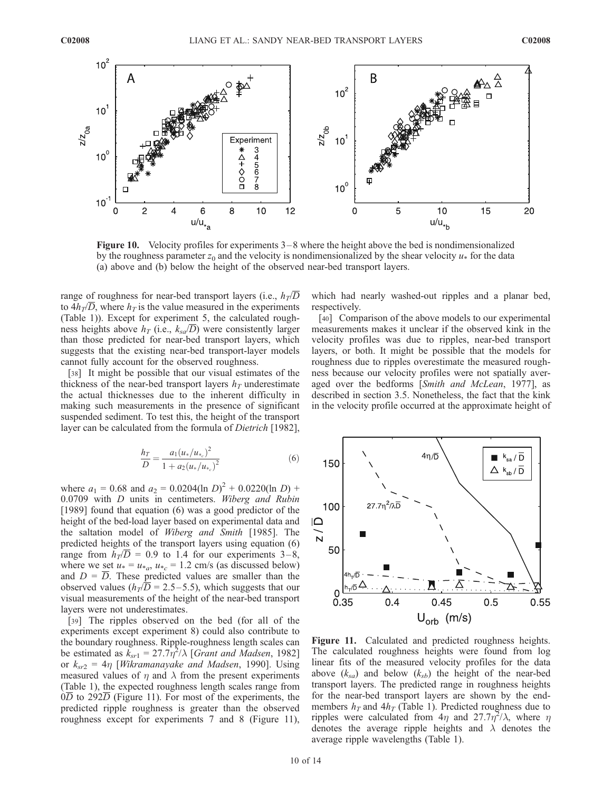

Figure 10. Velocity profiles for experiments 3– 8 where the height above the bed is nondimensionalized by the roughness parameter  $z_0$  and the velocity is nondimensionalized by the shear velocity  $u_*$  for the data (a) above and (b) below the height of the observed near-bed transport layers.

range of roughness for near-bed transport layers (i.e.,  $h_T/\overline{D}$ to  $4h<sub>T</sub>/\overline{D}$ , where  $h<sub>T</sub>$  is the value measured in the experiments (Table 1)). Except for experiment 5, the calculated roughness heights above  $h_T$  (i.e.,  $k_{sa}(\overline{D})$ ) were consistently larger than those predicted for near-bed transport layers, which suggests that the existing near-bed transport-layer models cannot fully account for the observed roughness.

[38] It might be possible that our visual estimates of the thickness of the near-bed transport layers  $h<sub>T</sub>$  underestimate the actual thicknesses due to the inherent difficulty in making such measurements in the presence of significant suspended sediment. To test this, the height of the transport layer can be calculated from the formula of Dietrich [1982],

$$
\frac{h_T}{D} = \frac{a_1 (u_*/u_*)^2}{1 + a_2 (u_*/u_*)^2}
$$
(6)

where  $a_1 = 0.68$  and  $a_2 = 0.0204(\ln D)^2 + 0.0220(\ln D) +$ 0.0709 with D units in centimeters. Wiberg and Rubin [1989] found that equation (6) was a good predictor of the height of the bed-load layer based on experimental data and the saltation model of Wiberg and Smith [1985]. The predicted heights of the transport layers using equation (6) range from  $\bar{h}_T/\overline{D} = 0.9$  to 1.4 for our experiments 3–8, where we set  $u_* = u_{*a}$ ,  $u_{*c} = 1.2$  cm/s (as discussed below) and  $D = \overline{D}$ . These predicted values are smaller than the observed values ( $h_T/\overline{D} = 2.5 - 5.5$ ), which suggests that our visual measurements of the height of the near-bed transport layers were not underestimates.

[39] The ripples observed on the bed (for all of the experiments except experiment 8) could also contribute to the boundary roughness. Ripple-roughness length scales can be estimated as  $\overline{k}_{s-1} = 27.7\eta^2/\lambda$  [*Grant and Madsen*, 1982] or  $k_{sr2} = 4\eta$  [Wikramanayake and Madsen, 1990]. Using measured values of  $\eta$  and  $\lambda$  from the present experiments (Table 1), the expected roughness length scales range from  $0\overline{D}$  to 292 $\overline{D}$  (Figure 11). For most of the experiments, the predicted ripple roughness is greater than the observed roughness except for experiments 7 and 8 (Figure 11), which had nearly washed-out ripples and a planar bed, respectively.

[40] Comparison of the above models to our experimental measurements makes it unclear if the observed kink in the velocity profiles was due to ripples, near-bed transport layers, or both. It might be possible that the models for roughness due to ripples overestimate the measured roughness because our velocity profiles were not spatially averaged over the bedforms [Smith and McLean, 1977], as described in section 3.5. Nonetheless, the fact that the kink in the velocity profile occurred at the approximate height of



Figure 11. Calculated and predicted roughness heights. The calculated roughness heights were found from log linear fits of the measured velocity profiles for the data above  $(k_{sa})$  and below  $(k_{sb})$  the height of the near-bed transport layers. The predicted range in roughness heights for the near-bed transport layers are shown by the endmembers  $h_T$  and  $4h_T$  (Table 1). Predicted roughness due to ripples were calculated from  $4\eta$  and  $27.7\eta^2/\lambda$ , where  $\eta$ denotes the average ripple heights and  $\lambda$  denotes the average ripple wavelengths (Table 1).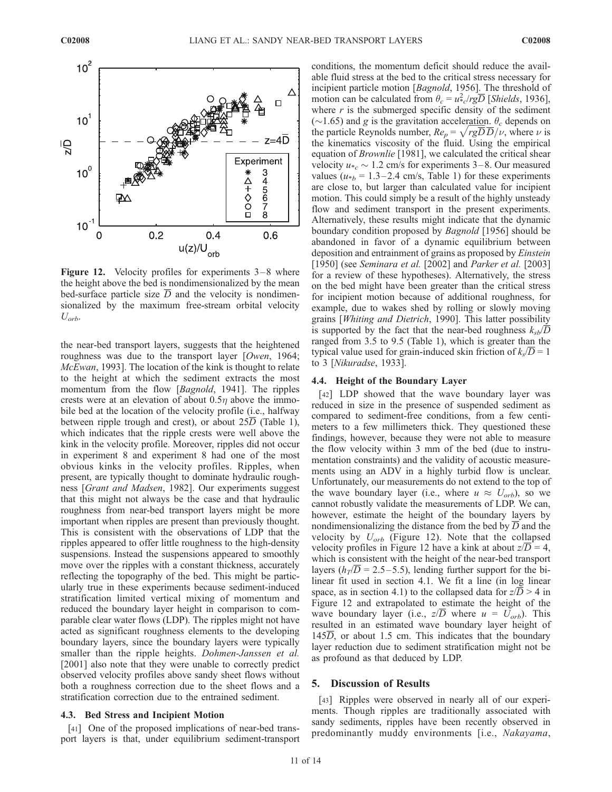

**Figure 12.** Velocity profiles for experiments  $3-8$  where the height above the bed is nondimensionalized by the mean bed-surface particle size  $\overline{D}$  and the velocity is nondimensionalized by the maximum free-stream orbital velocity  $U_{orb.}$ 

the near-bed transport layers, suggests that the heightened roughness was due to the transport layer [Owen, 1964; McEwan, 1993]. The location of the kink is thought to relate to the height at which the sediment extracts the most momentum from the flow [Bagnold, 1941]. The ripples crests were at an elevation of about  $0.5\eta$  above the immobile bed at the location of the velocity profile (i.e., halfway between ripple trough and crest), or about  $25\overline{D}$  (Table 1), which indicates that the ripple crests were well above the kink in the velocity profile. Moreover, ripples did not occur in experiment 8 and experiment 8 had one of the most obvious kinks in the velocity profiles. Ripples, when present, are typically thought to dominate hydraulic roughness [Grant and Madsen, 1982]. Our experiments suggest that this might not always be the case and that hydraulic roughness from near-bed transport layers might be more important when ripples are present than previously thought. This is consistent with the observations of LDP that the ripples appeared to offer little roughness to the high-density suspensions. Instead the suspensions appeared to smoothly move over the ripples with a constant thickness, accurately reflecting the topography of the bed. This might be particularly true in these experiments because sediment-induced stratification limited vertical mixing of momentum and reduced the boundary layer height in comparison to comparable clear water flows (LDP). The ripples might not have acted as significant roughness elements to the developing boundary layers, since the boundary layers were typically smaller than the ripple heights. Dohmen-Janssen et al. [2001] also note that they were unable to correctly predict observed velocity profiles above sandy sheet flows without both a roughness correction due to the sheet flows and a stratification correction due to the entrained sediment.

#### 4.3. Bed Stress and Incipient Motion

[41] One of the proposed implications of near-bed transport layers is that, under equilibrium sediment-transport conditions, the momentum deficit should reduce the available fluid stress at the bed to the critical stress necessary for incipient particle motion [Bagnold, 1956]. The threshold of motion can be calculated from  $\theta_c = u_{\infty}^2 / r g \overline{D}$  [*Shields*, 1936], where  $r$  is the submerged specific density of the sediment ( $\sim$ 1.65) and g is the gravitation acceleration.  $\theta_c$  depends on ( $\sim$ 1.05) and g is the gravitation acceleration.  $\sigma_c$  depends on the particle Reynolds number,  $Re_p = \sqrt{rgD}/\nu$ , where  $\nu$  is the kinematics viscosity of the fluid. Using the empirical equation of *Brownlie* [1981], we calculated the critical shear velocity  $u_{\alpha} \sim 1.2$  cm/s for experiments 3–8. Our measured values ( $u_{\ast}$  = 1.3–2.4 cm/s, Table 1) for these experiments are close to, but larger than calculated value for incipient motion. This could simply be a result of the highly unsteady flow and sediment transport in the present experiments. Alternatively, these results might indicate that the dynamic boundary condition proposed by Bagnold [1956] should be abandoned in favor of a dynamic equilibrium between deposition and entrainment of grains as proposed by Einstein [1950] (see Seminara et al. [2002] and Parker et al. [2003] for a review of these hypotheses). Alternatively, the stress on the bed might have been greater than the critical stress for incipient motion because of additional roughness, for example, due to wakes shed by rolling or slowly moving grains [Whiting and Dietrich, 1990]. This latter possibility is supported by the fact that the near-bed roughness  $k_{sb}/\overline{D}$ ranged from 3.5 to 9.5 (Table 1), which is greater than the typical value used for grain-induced skin friction of  $k_s/\overline{D} = 1$ to 3 [Nikuradse, 1933].

## 4.4. Height of the Boundary Layer

[42] LDP showed that the wave boundary layer was reduced in size in the presence of suspended sediment as compared to sediment-free conditions, from a few centimeters to a few millimeters thick. They questioned these findings, however, because they were not able to measure the flow velocity within 3 mm of the bed (due to instrumentation constraints) and the validity of acoustic measurements using an ADV in a highly turbid flow is unclear. Unfortunately, our measurements do not extend to the top of the wave boundary layer (i.e., where  $u \approx U_{orb}$ ), so we cannot robustly validate the measurements of LDP. We can, however, estimate the height of the boundary layers by nondimensionalizing the distance from the bed by  $\overline{D}$  and the velocity by  $U_{orb}$  (Figure 12). Note that the collapsed velocity profiles in Figure 12 have a kink at about  $z/D = 4$ , which is consistent with the height of the near-bed transport layers ( $h_T/D = 2.5-5.5$ ), lending further support for the bilinear fit used in section 4.1. We fit a line (in log linear space, as in section 4.1) to the collapsed data for  $z/\overline{D} > 4$  in Figure 12 and extrapolated to estimate the height of the wave boundary layer (i.e.,  $z/D$  where  $u = U_{orb}$ ). This resulted in an estimated wave boundary layer height of 145D, or about 1.5 cm. This indicates that the boundary layer reduction due to sediment stratification might not be as profound as that deduced by LDP.

# 5. Discussion of Results

[43] Ripples were observed in nearly all of our experiments. Though ripples are traditionally associated with sandy sediments, ripples have been recently observed in predominantly muddy environments [i.e., Nakayama,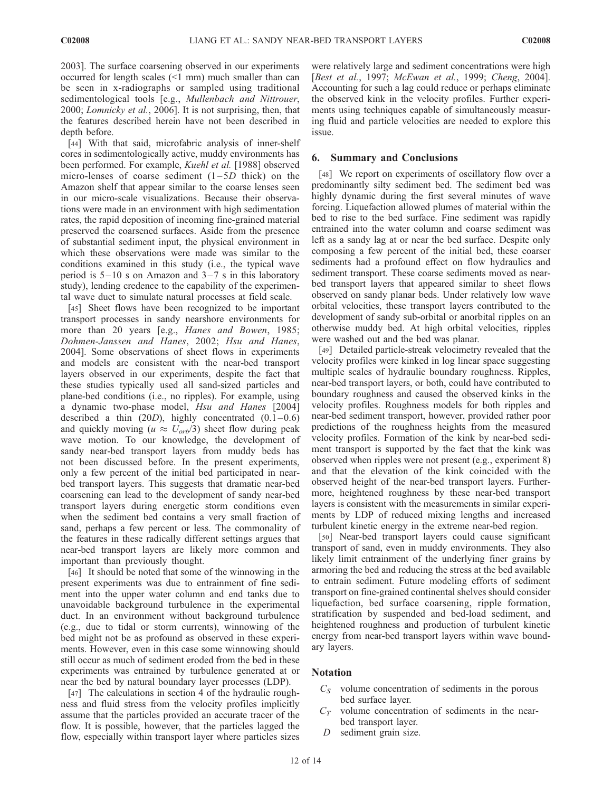2003]. The surface coarsening observed in our experiments occurred for length scales (<1 mm) much smaller than can be seen in x-radiographs or sampled using traditional sedimentological tools [e.g., Mullenbach and Nittrouer, 2000; Lomnicky et al., 2006]. It is not surprising, then, that the features described herein have not been described in depth before.

[44] With that said, microfabric analysis of inner-shelf cores in sedimentologically active, muddy environments has been performed. For example, *Kuehl et al.* [1988] observed micro-lenses of coarse sediment  $(1-5D)$  thick) on the Amazon shelf that appear similar to the coarse lenses seen in our micro-scale visualizations. Because their observations were made in an environment with high sedimentation rates, the rapid deposition of incoming fine-grained material preserved the coarsened surfaces. Aside from the presence of substantial sediment input, the physical environment in which these observations were made was similar to the conditions examined in this study (i.e., the typical wave period is  $5-10$  s on Amazon and  $3-7$  s in this laboratory study), lending credence to the capability of the experimental wave duct to simulate natural processes at field scale.

[45] Sheet flows have been recognized to be important transport processes in sandy nearshore environments for more than 20 years [e.g., Hanes and Bowen, 1985; Dohmen-Janssen and Hanes, 2002; Hsu and Hanes, 2004]. Some observations of sheet flows in experiments and models are consistent with the near-bed transport layers observed in our experiments, despite the fact that these studies typically used all sand-sized particles and plane-bed conditions (i.e., no ripples). For example, using a dynamic two-phase model, Hsu and Hanes [2004] described a thin  $(20D)$ , highly concentrated  $(0.1-0.6)$ and quickly moving ( $u \approx U_{orb}/3$ ) sheet flow during peak wave motion. To our knowledge, the development of sandy near-bed transport layers from muddy beds has not been discussed before. In the present experiments, only a few percent of the initial bed participated in nearbed transport layers. This suggests that dramatic near-bed coarsening can lead to the development of sandy near-bed transport layers during energetic storm conditions even when the sediment bed contains a very small fraction of sand, perhaps a few percent or less. The commonality of the features in these radically different settings argues that near-bed transport layers are likely more common and important than previously thought.

[46] It should be noted that some of the winnowing in the present experiments was due to entrainment of fine sediment into the upper water column and end tanks due to unavoidable background turbulence in the experimental duct. In an environment without background turbulence (e.g., due to tidal or storm currents), winnowing of the bed might not be as profound as observed in these experiments. However, even in this case some winnowing should still occur as much of sediment eroded from the bed in these experiments was entrained by turbulence generated at or near the bed by natural boundary layer processes (LDP).

[47] The calculations in section 4 of the hydraulic roughness and fluid stress from the velocity profiles implicitly assume that the particles provided an accurate tracer of the flow. It is possible, however, that the particles lagged the flow, especially within transport layer where particles sizes were relatively large and sediment concentrations were high [Best et al., 1997; McEwan et al., 1999; Cheng, 2004]. Accounting for such a lag could reduce or perhaps eliminate the observed kink in the velocity profiles. Further experiments using techniques capable of simultaneously measuring fluid and particle velocities are needed to explore this issue.

# 6. Summary and Conclusions

[48] We report on experiments of oscillatory flow over a predominantly silty sediment bed. The sediment bed was highly dynamic during the first several minutes of wave forcing. Liquefaction allowed plumes of material within the bed to rise to the bed surface. Fine sediment was rapidly entrained into the water column and coarse sediment was left as a sandy lag at or near the bed surface. Despite only composing a few percent of the initial bed, these coarser sediments had a profound effect on flow hydraulics and sediment transport. These coarse sediments moved as nearbed transport layers that appeared similar to sheet flows observed on sandy planar beds. Under relatively low wave orbital velocities, these transport layers contributed to the development of sandy sub-orbital or anorbital ripples on an otherwise muddy bed. At high orbital velocities, ripples were washed out and the bed was planar.

[49] Detailed particle-streak velocimetry revealed that the velocity profiles were kinked in log linear space suggesting multiple scales of hydraulic boundary roughness. Ripples, near-bed transport layers, or both, could have contributed to boundary roughness and caused the observed kinks in the velocity profiles. Roughness models for both ripples and near-bed sediment transport, however, provided rather poor predictions of the roughness heights from the measured velocity profiles. Formation of the kink by near-bed sediment transport is supported by the fact that the kink was observed when ripples were not present (e.g., experiment 8) and that the elevation of the kink coincided with the observed height of the near-bed transport layers. Furthermore, heightened roughness by these near-bed transport layers is consistent with the measurements in similar experiments by LDP of reduced mixing lengths and increased turbulent kinetic energy in the extreme near-bed region.

[50] Near-bed transport layers could cause significant transport of sand, even in muddy environments. They also likely limit entrainment of the underlying finer grains by armoring the bed and reducing the stress at the bed available to entrain sediment. Future modeling efforts of sediment transport on fine-grained continental shelves should consider liquefaction, bed surface coarsening, ripple formation, stratification by suspended and bed-load sediment, and heightened roughness and production of turbulent kinetic energy from near-bed transport layers within wave boundary layers.

# Notation

- $C<sub>S</sub>$  volume concentration of sediments in the porous bed surface layer.
- $C_T$  volume concentration of sediments in the nearbed transport layer.
- D sediment grain size.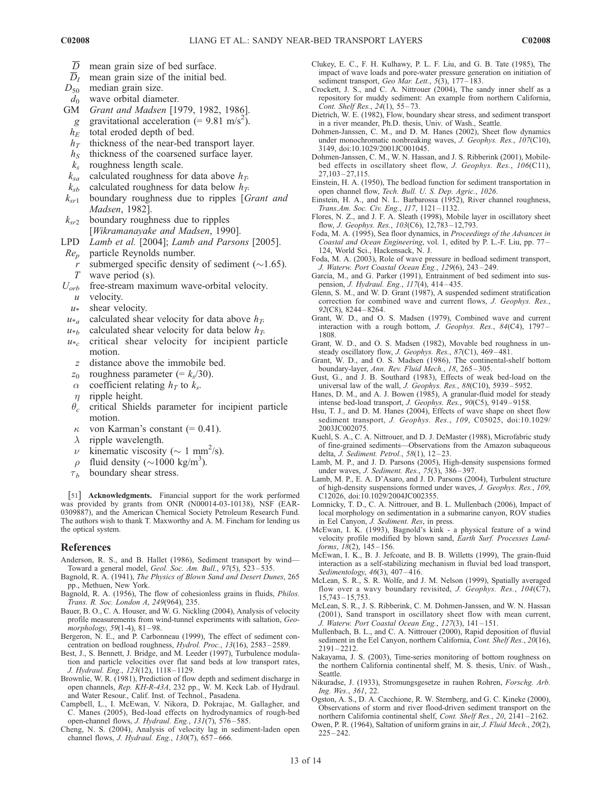- $\overline{D}$  mean grain size of bed surface.
- $\overline{D}_I$  mean grain size of the initial bed.
- $D_{50}$  median grain size.<br> $d_0$  wave orbital diaments
- wave orbital diameter.
- GM Grant and Madsen [1979, 1982, 1986].
- g gravitational acceleration (=  $9.81 \text{ m/s}^2$ ).
- $h_E$  total eroded depth of bed.
- $h_T$  thickness of the near-bed transport layer.
- $h<sub>S</sub>$  thickness of the coarsened surface layer.
- $k<sub>s</sub>$  roughness length scale.
- 
- $k_{sa}$  calculated roughness for data above  $h_T$ .<br> $k_{sh}$  calculated roughness for data below  $h_T$ .
- $k_{sb}$  calculated roughness for data below  $h_T$ .<br> $k_{sr1}$  boundary roughness due to ripples [G boundary roughness due to ripples [Grant and Madsen, 1982].
- $k_{sr2}$  boundary roughness due to ripples [Wikramanayake and Madsen, 1990].
- LPD Lamb et al. [2004]; Lamb and Parsons [2005].
- $Re<sub>p</sub>$  particle Reynolds number.
	- submerged specific density of sediment  $(\sim 1.65)$ . T wave period (s).
- $U_{orb}$  free-stream maximum wave-orbital velocity.
	- $u$  velocity.
	- $u*$  shear velocity.
- $u_{a}$  calculated shear velocity for data above  $h_T$ .
- $u_{*b}$  calculated shear velocity for data below  $h_T$ .
- $u *_{c}$  critical shear velocity for incipient particle motion.
- z distance above the immobile bed.
- $z_0$  roughness parameter (=  $k_s/30$ ).
- $\alpha$  coefficient relating  $h_T$  to  $k_s$ .
- $\eta$  ripple height.
- $\theta_c$  critical Shields parameter for incipient particle motion.
- $\kappa$  von Karman's constant (= 0.41).
- $\lambda$  ripple wavelength.
- $\nu$  kinematic viscosity ( $\sim 1$  mm<sup>2</sup>/s).
- $\rho$  fluid density (~1000 kg/m<sup>3</sup>).
- $\tau_b$  boundary shear stress.

[51] Acknowledgments. Financial support for the work performed was provided by grants from ONR (N00014-03-10138), NSF (EAR-0309887), and the American Chemical Society Petroleum Research Fund. The authors wish to thank T. Maxworthy and A. M. Fincham for lending us the optical system.

#### References

- Anderson, R. S., and B. Hallet (1986), Sediment transport by wind— Toward a general model, Geol. Soc. Am. Bull., 97(5), 523 – 535.
- Bagnold, R. A. (1941), The Physics of Blown Sand and Desert Dunes, 265 pp., Methuen, New York.
- Bagnold, R. A. (1956), The flow of cohesionless grains in fluids, Philos. Trans. R. Soc. London A, 249(964), 235.
- Bauer, B. O., C. A. Houser, and W. G. Nickling (2004), Analysis of velocity profile measurements from wind-tunnel experiments with saltation, Geomorphology, 59(1-4), 81-98.
- Bergeron, N. E., and P. Carbonneau (1999), The effect of sediment concentration on bedload roughness, Hydrol. Proc., 13(16), 2583-2589.
- Best, J., S. Bennett, J. Bridge, and M. Leeder (1997), Turbulence modulation and particle velocities over flat sand beds at low transport rates, J. Hydraul. Eng., 123(12), 1118 – 1129.
- Brownlie, W. R. (1981), Prediction of flow depth and sediment discharge in open channels, Rep. KH-R-43A, 232 pp., W. M. Keck Lab. of Hydraul. and Water Resour., Calif. Inst. of Technol., Pasadena.
- Campbell, L., I. McEwan, V. Nikora, D. Pokrajac, M. Gallagher, and C. Manes (2005), Bed-load effects on hydrodynamics of rough-bed open-channel flows, J. Hydraul. Eng., 131(7), 576-585.
- Cheng, N. S. (2004), Analysis of velocity lag in sediment-laden open channel flows, *J. Hydraul. Eng.*, 130(7), 657-666.
- Clukey, E. C., F. H. Kulhawy, P. L. F. Liu, and G. B. Tate (1985), The impact of wave loads and pore-water pressure generation on initiation of sediment transport, Geo Mar. Lett.,  $5(3)$ , 177-183.
- Crockett, J. S., and C. A. Nittrouer (2004), The sandy inner shelf as a repository for muddy sediment: An example from northern California, Cont. Shelf Res., 24(1), 55–73.
- Dietrich, W. E. (1982), Flow, boundary shear stress, and sediment transport in a river meander, Ph.D. thesis, Univ. of Wash., Seattle.
- Dohmen-Janssen, C. M., and D. M. Hanes (2002), Sheet flow dynamics under monochromatic nonbreaking waves, J. Geophys. Res., 107(C10), 3149, doi:10.1029/2001JC001045.
- Dohmen-Janssen, C. M., W. N. Hassan, and J. S. Ribberink (2001), Mobilebed effects in oscillatory sheet flow, J. Geophys. Res., 106(C11),  $27,103 - 27,115.$
- Einstein, H. A. (1950), The bedload function for sediment transportation in open channel flow, Tech. Bull. U. S. Dep. Agric., 1026.
- Einstein, H. A., and N. L. Barbarossa (1952), River channel roughness, Trans.Am. Soc. Civ. Eng., 117, 1121 – 1132.
- Flores, N. Z., and J. F. A. Sleath (1998), Mobile layer in oscillatory sheet flow, J. Geophys. Res., 103(C6), 12,783 – 12,793.
- Foda, M. A. (1995), Sea floor dynamics, in Proceedings of the Advances in Coastal and Ocean Engineering, vol. 1, edited by P. L.-F. Liu, pp. 77 – 124, World Sci., Hackensack, N. J.
- Foda, M. A. (2003), Role of wave pressure in bedload sediment transport, J. Waterw. Port Coastal Ocean Eng., 129(6), 243 – 249.
- García, M., and G. Parker (1991), Entrainment of bed sediment into suspension, *J. Hydraul. Eng.*, 117(4), 414-435.
- Glenn, S. M., and W. D. Grant (1987), A suspended sediment stratification correction for combined wave and current flows, J. Geophys. Res., 92(C8), 8244 – 8264.
- Grant, W. D., and O. S. Madsen (1979), Combined wave and current interaction with a rough bottom, J. Geophys. Res., 84(C4), 1797 – 1808.
- Grant, W. D., and O. S. Madsen (1982), Movable bed roughness in unsteady oscillatory flow, J. Geophys. Res., 87(C1), 469-481.
- Grant, W. D., and O. S. Madsen (1986), The continental-shelf bottom boundary-layer, Ann. Rev. Fluid Mech., 18, 265-305.
- Gust, G., and J. B. Southard (1983), Effects of weak bed-load on the universal law of the wall, J. Geophys. Res., 88(C10), 5939-5952.
- Hanes, D. M., and A. J. Bowen (1985), A granular-fluid model for steady intense bed-load transport, J. Geophys. Res., 90(C5), 9149 – 9158.
- Hsu, T. J., and D. M. Hanes (2004), Effects of wave shape on sheet flow sediment transport, *J. Geophys. Res.*, 109, C05025, doi:10.1029/ 2003JC002075.
- Kuehl, S. A., C. A. Nittrouer, and D. J. DeMaster (1988), Microfabric study of fine-grained sediments—Observations from the Amazon subaqueous delta, J. Sediment. Petrol., 58(1), 12-23.
- Lamb, M. P., and J. D. Parsons (2005), High-density suspensions formed under waves, J. Sediment. Res., 75(3), 386 – 397.
- Lamb, M. P., E. A. D'Asaro, and J. D. Parsons (2004), Turbulent structure of high-density suspensions formed under waves, J. Geophys. Res., 109, C12026, doi:10.1029/2004JC002355.
- Lomnicky, T. D., C. A. Nittrouer, and B. L. Mullenbach (2006), Impact of local morphology on sedimentation in a submarine canyon, ROV studies in Eel Canyon, J. Sediment. Res, in press.
- McEwan, I. K. (1993), Bagnold's kink a physical feature of a wind velocity profile modified by blown sand, Earth Surf. Processes Landforms, 18(2), 145-156.
- McEwan, I. K., B. J. Jefcoate, and B. B. Willetts (1999), The grain-fluid interaction as a self-stabilizing mechanism in fluvial bed load transport, Sedimentology, 46(3), 407-416.
- McLean, S. R., S. R. Wolfe, and J. M. Nelson (1999), Spatially averaged flow over a wavy boundary revisited, J. Geophys. Res., 104(C7), 15,743 – 15,753.
- McLean, S. R., J. S. Ribberink, C. M. Dohmen-Janssen, and W. N. Hassan (2001), Sand transport in oscillatory sheet flow with mean current, J. Waterw. Port Coastal Ocean Eng., 127(3), 141 – 151.
- Mullenbach, B. L., and C. A. Nittrouer (2000), Rapid deposition of fluvial sediment in the Eel Canyon, northern California, Cont. Shelf Res., 20(16), 2191 – 2212.
- Nakayama, J. S. (2003), Time-series monitoring of bottom roughness on the northern California continental shelf, M. S. thesis, Univ. of Wash., Seattle.
- Nikuradse, J. (1933), Stromungsgesetze in rauhen Rohren, Forschg. Arb. Ing. Wes., 361, 22.
- Ogston, A. S., D. A. Cacchione, R. W. Sternberg, and G. C. Kineke (2000), Observations of storm and river flood-driven sediment transport on the northern California continental shelf, Cont. Shelf Res., 20, 2141 – 2162.
- Owen, P. R. (1964), Saltation of uniform grains in air, J. Fluid Mech., 20(2),  $225 - 242$ .